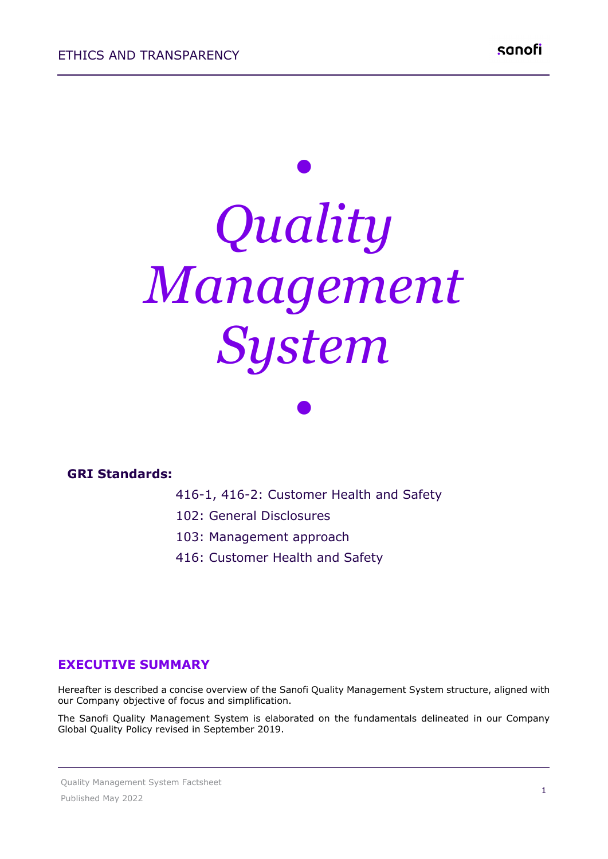# *• Quality Management System*

#### **GRI Standards:**

416-1, 416-2: Customer Health and Safety

*•*

- 102: General Disclosures
- 103: Management approach
- 416: Customer Health and Safety

#### **EXECUTIVE SUMMARY**

Hereafter is described a concise overview of the Sanofi Quality Management System structure, aligned with our Company objective of focus and simplification.

The Sanofi Quality Management System is elaborated on the fundamentals delineated in our Company Global Quality Policy revised in September 2019.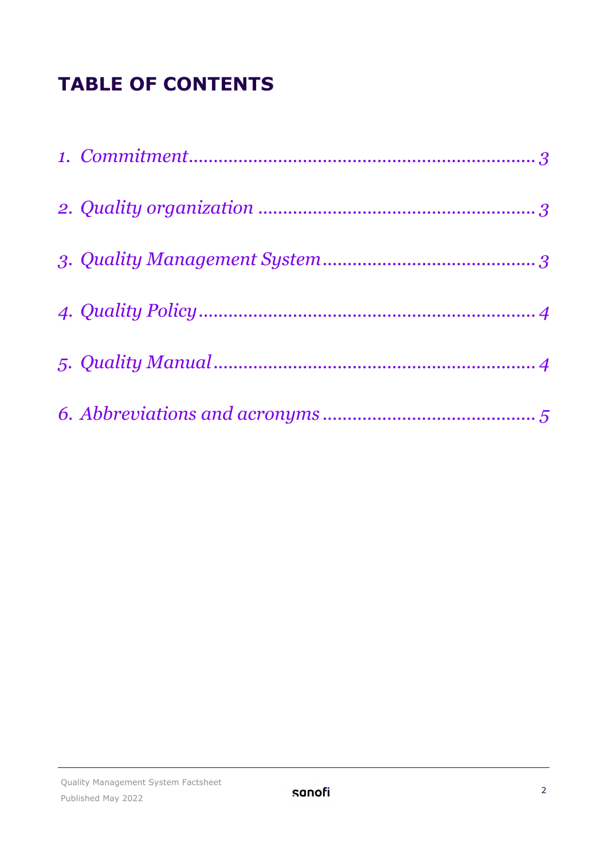## **TABLE OF CONTENTS**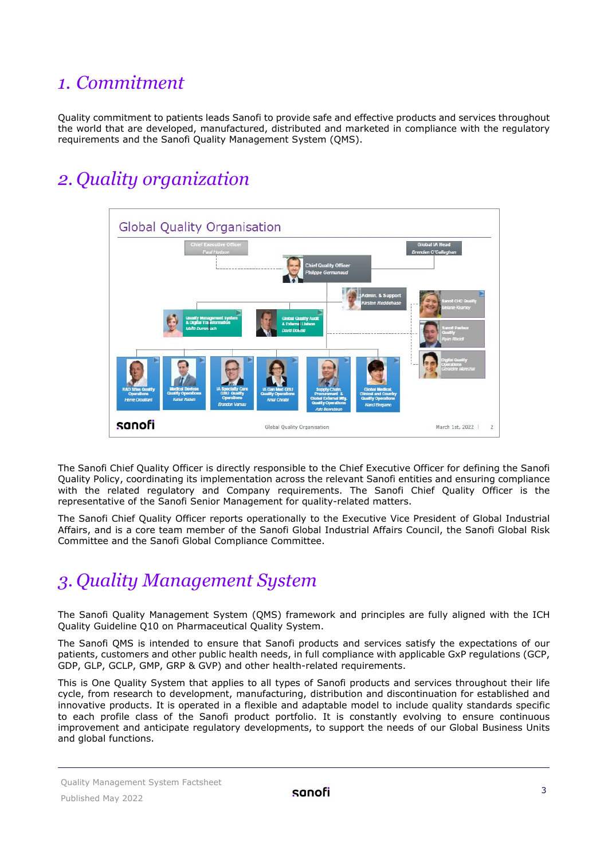#### <span id="page-2-0"></span>*1. Commitment*

Quality commitment to patients leads Sanofi to provide safe and effective products and services throughout the world that are developed, manufactured, distributed and marketed in compliance with the regulatory requirements and the Sanofi Quality Management System (QMS).

## <span id="page-2-1"></span>*2. Quality organization*



The Sanofi Chief Quality Officer is directly responsible to the Chief Executive Officer for defining the Sanofi Quality Policy, coordinating its implementation across the relevant Sanofi entities and ensuring compliance with the related regulatory and Company requirements. The Sanofi Chief Quality Officer is the representative of the Sanofi Senior Management for quality-related matters.

The Sanofi Chief Quality Officer reports operationally to the Executive Vice President of Global Industrial Affairs, and is a core team member of the Sanofi Global Industrial Affairs Council, the Sanofi Global Risk Committee and the Sanofi Global Compliance Committee.

#### <span id="page-2-2"></span>*3. Quality Management System*

The Sanofi Quality Management System (QMS) framework and principles are fully aligned with the ICH Quality Guideline Q10 on Pharmaceutical Quality System.

The Sanofi QMS is intended to ensure that Sanofi products and services satisfy the expectations of our patients, customers and other public health needs, in full compliance with applicable GxP regulations (GCP, GDP, GLP, GCLP, GMP, GRP & GVP) and other health-related requirements.

This is One Quality System that applies to all types of Sanofi products and services throughout their life cycle, from research to development, manufacturing, distribution and discontinuation for established and innovative products. It is operated in a flexible and adaptable model to include quality standards specific to each profile class of the Sanofi product portfolio. It is constantly evolving to ensure continuous improvement and anticipate regulatory developments, to support the needs of our Global Business Units and global functions.

Quality Management System Factsheet Published May 2022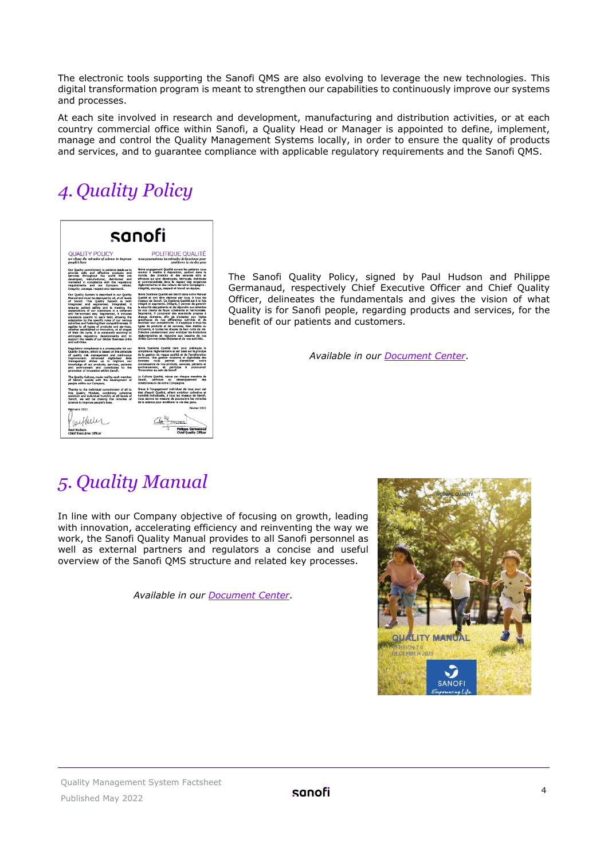The electronic tools supporting the Sanofi QMS are also evolving to leverage the new technologies. This digital transformation program is meant to strengthen our capabilities to continuously improve our systems and processes.

At each site involved in research and development, manufacturing and distribution activities, or at each country commercial office within Sanofi, a Quality Head or Manager is appointed to define, implement, manage and control the Quality Management Systems locally, in order to ensure the quality of products and services, and to guarantee compliance with applicable regulatory requirements and the Sanofi QMS.

## <span id="page-3-0"></span>*4. Quality Policy*



The Sanofi Quality Policy, signed by Paul Hudson and Philippe Germanaud, respectively Chief Executive Officer and Chief Quality Officer, delineates the fundamentals and gives the vision of what Quality is for Sanofi people, regarding products and services, for the benefit of our patients and customers.

*Available in our [Document Center](https://www.sanofi.com/en/our-responsibility/documents-center/)*.

#### <span id="page-3-1"></span>*5. Quality Manual*

In line with our Company objective of focusing on growth, leading with innovation, accelerating efficiency and reinventing the way we work, the Sanofi Quality Manual provides to all Sanofi personnel as well as external partners and regulators a concise and useful overview of the Sanofi QMS structure and related key processes.

*Available in our [Document Center](https://www.sanofi.com/en/our-responsibility/documents-center/)*.